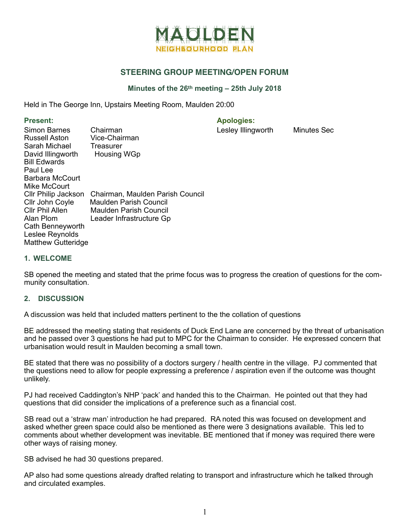

# **STEERING GROUP MEETING/OPEN FORUM**

## **Minutes of the 26th meeting – 25th July 2018**

Held in The George Inn, Upstairs Meeting Room, Maulden 20:00

Present: **Apologies:** Apologies:

Lesley Illingworth Minutes Sec

| Simon Barnes<br>Russell Aston<br>Sarah Michael<br>David Illingworth<br><b>Bill Edwards</b><br>Paul Lee<br><b>Barbara McCourt</b>           | Chairman<br>Vice-Chairman<br>Treasurer<br><b>Housing WGp</b>                                                     |
|--------------------------------------------------------------------------------------------------------------------------------------------|------------------------------------------------------------------------------------------------------------------|
| Mike McCourt                                                                                                                               |                                                                                                                  |
| Cllr Philip Jackson<br>Cllr John Coyle<br>Cllr Phil Allen<br>Alan Plom<br>Cath Benneyworth<br>Leslee Reynolds<br><b>Matthew Gutteridge</b> | Chairman, Maulden Parish Council<br>Maulden Parish Council<br>Maulden Parish Council<br>Leader Infrastructure Gp |

#### **1. WELCOME**

SB opened the meeting and stated that the prime focus was to progress the creation of questions for the community consultation.

#### **2. DISCUSSION**

A discussion was held that included matters pertinent to the the collation of questions

BE addressed the meeting stating that residents of Duck End Lane are concerned by the threat of urbanisation and he passed over 3 questions he had put to MPC for the Chairman to consider. He expressed concern that urbanisation would result in Maulden becoming a small town.

BE stated that there was no possibility of a doctors surgery / health centre in the village. PJ commented that the questions need to allow for people expressing a preference / aspiration even if the outcome was thought unlikely.

PJ had received Caddington's NHP 'pack' and handed this to the Chairman. He pointed out that they had questions that did consider the implications of a preference such as a financial cost.

SB read out a 'straw man' introduction he had prepared. RA noted this was focused on development and asked whether green space could also be mentioned as there were 3 designations available. This led to comments about whether development was inevitable. BE mentioned that if money was required there were other ways of raising money.

SB advised he had 30 questions prepared.

AP also had some questions already drafted relating to transport and infrastructure which he talked through and circulated examples.